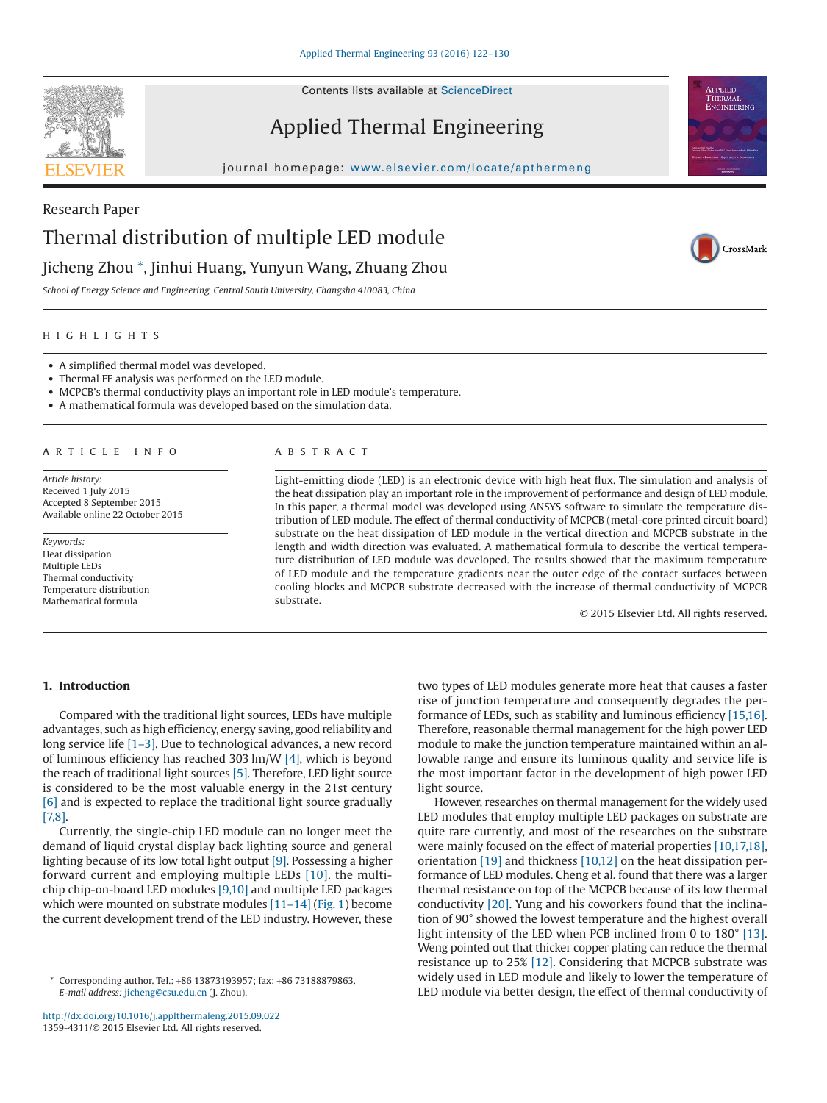

Contents lists available at [ScienceDirect](http://www.sciencedirect.com/science/journal/13594311)

# Applied Thermal Engineering





CrossMark

# Research Paper Thermal distribution of multiple LED module

## Jicheng Zhou [\\*,](#page-0-0) Jinhui Huang, Yunyun Wang, Zhuang Zhou

*School of Energy Science and Engineering, Central South University, Changsha 410083, China*

### HIGHLIGHTS

- A simplified thermal model was developed.
- Thermal FE analysis was performed on the LED module.
- MCPCB's thermal conductivity plays an important role in LED module's temperature.
- A mathematical formula was developed based on the simulation data.

#### ARTICLE INFO

*Article history:* Received 1 July 2015 Accepted 8 September 2015 Available online 22 October 2015

*Keywords:* Heat dissipation Multiple LEDs Thermal conductivity Temperature distribution Mathematical formula

#### ABSTRACT

Light-emitting diode (LED) is an electronic device with high heat flux. The simulation and analysis of the heat dissipation play an important role in the improvement of performance and design of LED module. In this paper, a thermal model was developed using ANSYS software to simulate the temperature distribution of LED module. The effect of thermal conductivity of MCPCB (metal-core printed circuit board) substrate on the heat dissipation of LED module in the vertical direction and MCPCB substrate in the length and width direction was evaluated. A mathematical formula to describe the vertical temperature distribution of LED module was developed. The results showed that the maximum temperature of LED module and the temperature gradients near the outer edge of the contact surfaces between cooling blocks and MCPCB substrate decreased with the increase of thermal conductivity of MCPCB substrate.

© 2015 Elsevier Ltd. All rights reserved.

### **1. Introduction**

Compared with the traditional light sources, LEDs have multiple advantages, such as high efficiency, energy saving, good reliability and long service life [\[1–3\].](#page--1-0) Due to technological advances, a new record of luminous efficiency has reached 303 lm/W [\[4\],](#page--1-1) which is beyond the reach of traditional light sources [\[5\].](#page--1-2) Therefore, LED light source is considered to be the most valuable energy in the 21st century [\[6\]](#page--1-3) and is expected to replace the traditional light source gradually [7.8].

Currently, the single-chip LED module can no longer meet the demand of liquid crystal display back lighting source and general lighting because of its low total light output [\[9\].](#page--1-5) Possessing a higher forward current and employing multiple LEDs [\[10\],](#page--1-6) the multichip chip-on-board LED modules [\[9,10\]](#page--1-5) and multiple LED packages which were mounted on substrate modules [\[11–14\]](#page--1-7) [\(Fig. 1\)](#page-1-0) become the current development trend of the LED industry. However, these

two types of LED modules generate more heat that causes a faster rise of junction temperature and consequently degrades the performance of LEDs, such as stability and luminous efficiency [\[15,16\].](#page--1-8) Therefore, reasonable thermal management for the high power LED module to make the junction temperature maintained within an allowable range and ensure its luminous quality and service life is the most important factor in the development of high power LED light source.

However, researches on thermal management for the widely used LED modules that employ multiple LED packages on substrate are quite rare currently, and most of the researches on the substrate were mainly focused on the effect of material properties [\[10,17,18\],](#page--1-6) orientation [\[19\]](#page--1-9) and thickness [\[10,12\]](#page--1-6) on the heat dissipation performance of LED modules. Cheng et al. found that there was a larger thermal resistance on top of the MCPCB because of its low thermal conductivity [\[20\].](#page--1-10) Yung and his coworkers found that the inclination of 90° showed the lowest temperature and the highest overall light intensity of the LED when PCB inclined from 0 to 180° [\[13\].](#page--1-11) Weng pointed out that thicker copper plating can reduce the thermal resistance up to 25% [\[12\].](#page--1-12) Considering that MCPCB substrate was widely used in LED module and likely to lower the temperature of LED module via better design, the effect of thermal conductivity of

<span id="page-0-0"></span>Corresponding author. Tel.: +86 13873193957; fax: +86 73188879863. *E-mail address:* [jicheng@csu.edu.cn](mailto:jicheng@csu.edu.cn) (J. Zhou).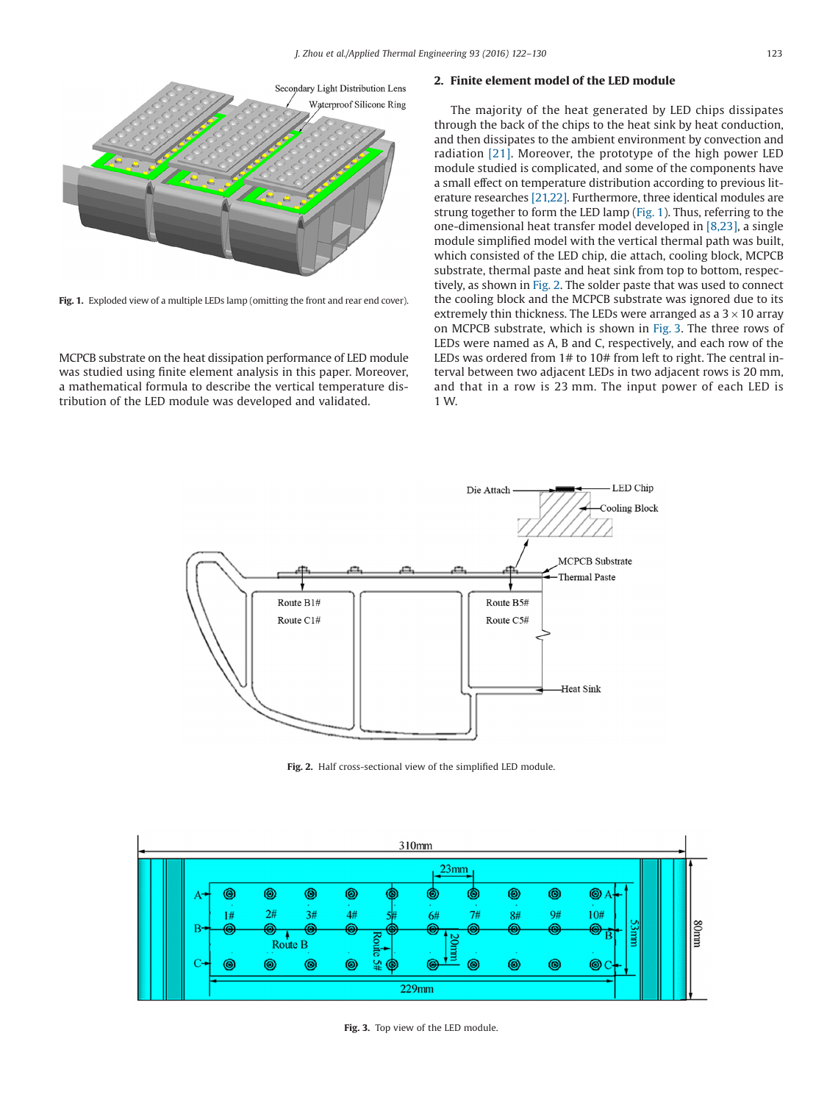<span id="page-1-0"></span>

Fig. 1. Exploded view of a multiple LEDs lamp (omitting the front and rear end cover).

MCPCB substrate on the heat dissipation performance of LED module was studied using finite element analysis in this paper. Moreover, a mathematical formula to describe the vertical temperature distribution of the LED module was developed and validated.

### **2. Finite element model of the LED module**

The majority of the heat generated by LED chips dissipates through the back of the chips to the heat sink by heat conduction, and then dissipates to the ambient environment by convection and radiation [\[21\].](#page--1-13) Moreover, the prototype of the high power LED module studied is complicated, and some of the components have a small effect on temperature distribution according to previous literature researches [\[21,22\].](#page--1-13) Furthermore, three identical modules are strung together to form the LED lamp (Fig. 1). Thus, referring to the one-dimensional heat transfer model developed in [\[8,23\],](#page--1-14) a single module simplified model with the vertical thermal path was built, which consisted of the LED chip, die attach, cooling block, MCPCB substrate, thermal paste and heat sink from top to bottom, respectively, as shown in Fig. 2. The solder paste that was used to connect the cooling block and the MCPCB substrate was ignored due to its extremely thin thickness. The LEDs were arranged as a  $3 \times 10$  array on MCPCB substrate, which is shown in Fig. 3. The three rows of LEDs were named as A, B and C, respectively, and each row of the LEDs was ordered from 1# to 10# from left to right. The central interval between two adjacent LEDs in two adjacent rows is 20 mm, and that in a row is 23 mm. The input power of each LED is 1 W.



**Fig. 2.** Half cross-sectional view of the simplified LED module.



**Fig. 3.** Top view of the LED module.